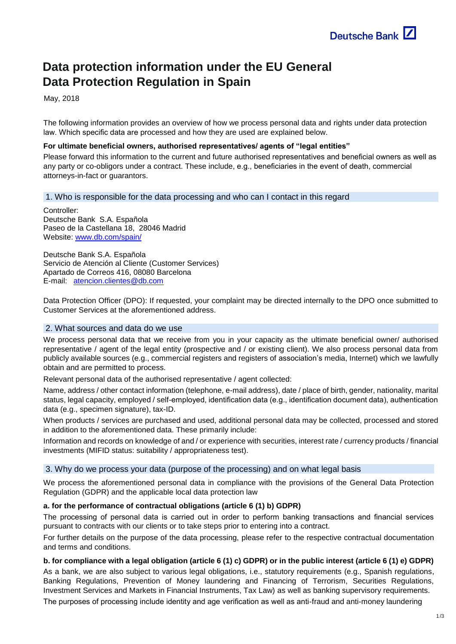# **Data protection information under the EU General Data Protection Regulation in Spain**

May, 2018

The following information provides an overview of how we process personal data and rights under data protection law. Which specific data are processed and how they are used are explained below.

## **For ultimate beneficial owners, authorised representatives/ agents of "legal entities"**

Please forward this information to the current and future authorised representatives and beneficial owners as well as any party or co-obligors under a contract. These include, e.g., beneficiaries in the event of death, commercial attorneys-in-fact or guarantors.

# 1. Who is responsible for the data processing and who can I contact in this regard

Controller: Deutsche Bank S.A. Española Paseo de la Castellana 18, 28046 Madrid Website: [www.db.com/spain/](http://www.db.com/spain/)

Deutsche Bank S.A. Española Servicio de Atención al Cliente (Customer Services) Apartado de Correos 416, 08080 Barcelona E-mail: [atencion.clientes@db.com](mailto:atencion.clientes@db.com)

Data Protection Officer (DPO): If requested, your complaint may be directed internally to the DPO once submitted to Customer Services at the aforementioned address.

## 2. What sources and data do we use

We process personal data that we receive from you in your capacity as the ultimate beneficial owner/ authorised representative / agent of the legal entity (prospective and / or existing client). We also process personal data from publicly available sources (e.g., commercial registers and registers of association's media, Internet) which we lawfully obtain and are permitted to process.

Relevant personal data of the authorised representative / agent collected:

Name, address / other contact information (telephone, e-mail address), date / place of birth, gender, nationality, marital status, legal capacity, employed / self-employed, identification data (e.g., identification document data), authentication data (e.g., specimen signature), tax-ID.

When products / services are purchased and used, additional personal data may be collected, processed and stored in addition to the aforementioned data. These primarily include:

Information and records on knowledge of and / or experience with securities, interest rate / currency products / financial investments (MIFID status: suitability / appropriateness test).

## 3. Why do we process your data (purpose of the processing) and on what legal basis

We process the aforementioned personal data in compliance with the provisions of the General Data Protection Regulation (GDPR) and the applicable local data protection law

# **a. for the performance of contractual obligations (article 6 (1) b) GDPR)**

The processing of personal data is carried out in order to perform banking transactions and financial services pursuant to contracts with our clients or to take steps prior to entering into a contract.

For further details on the purpose of the data processing, please refer to the respective contractual documentation and terms and conditions.

# **b. for compliance with a legal obligation (article 6 (1) c) GDPR) or in the public interest (article 6 (1) e) GDPR)**

As a bank, we are also subject to various legal obligations, i.e., statutory requirements (e.g., Spanish regulations, Banking Regulations, Prevention of Money laundering and Financing of Terrorism, Securities Regulations, Investment Services and Markets in Financial Instruments, Tax Law) as well as banking supervisory requirements.

The purposes of processing include identity and age verification as well as anti-fraud and anti-money laundering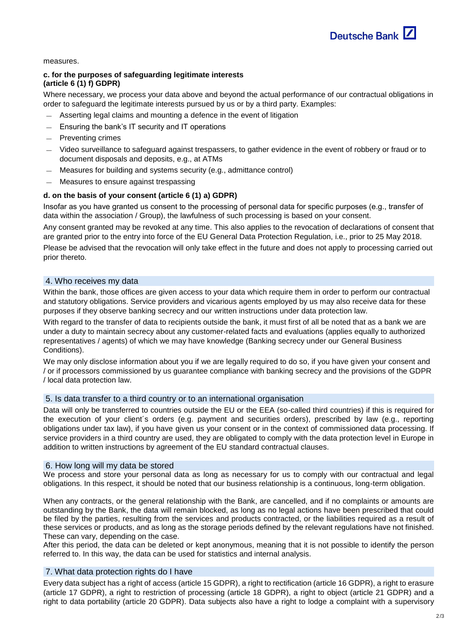

measures.

# **c. for the purposes of safeguarding legitimate interests (article 6 (1) f) GDPR)**

Where necessary, we process your data above and beyond the actual performance of our contractual obligations in order to safeguard the legitimate interests pursued by us or by a third party. Examples:

- Asserting legal claims and mounting a defence in the event of litigation
- Ensuring the bank's IT security and IT operations
- Preventing crimes
- Video surveillance to safeguard against trespassers, to gather evidence in the event of robbery or fraud or to document disposals and deposits, e.g., at ATMs
- Measures for building and systems security (e.g., admittance control)
- Measures to ensure against trespassing

## **d. on the basis of your consent (article 6 (1) a) GDPR)**

Insofar as you have granted us consent to the processing of personal data for specific purposes (e.g., transfer of data within the association / Group), the lawfulness of such processing is based on your consent.

Any consent granted may be revoked at any time. This also applies to the revocation of declarations of consent that are granted prior to the entry into force of the EU General Data Protection Regulation, i.e., prior to 25 May 2018.

Please be advised that the revocation will only take effect in the future and does not apply to processing carried out prior thereto.

## 4. Who receives my data

Within the bank, those offices are given access to your data which require them in order to perform our contractual and statutory obligations. Service providers and vicarious agents employed by us may also receive data for these purposes if they observe banking secrecy and our written instructions under data protection law.

With regard to the transfer of data to recipients outside the bank, it must first of all be noted that as a bank we are under a duty to maintain secrecy about any customer-related facts and evaluations (applies equally to authorized representatives / agents) of which we may have knowledge (Banking secrecy under our General Business Conditions).

We may only disclose information about you if we are legally required to do so, if you have given your consent and / or if processors commissioned by us guarantee compliance with banking secrecy and the provisions of the GDPR / local data protection law.

## 5. Is data transfer to a third country or to an international organisation

Data will only be transferred to countries outside the EU or the EEA (so-called third countries) if this is required for the execution of your client´s orders (e.g. payment and securities orders), prescribed by law (e.g., reporting obligations under tax law), if you have given us your consent or in the context of commissioned data processing. If service providers in a third country are used, they are obligated to comply with the data protection level in Europe in addition to written instructions by agreement of the EU standard contractual clauses.

## 6. How long will my data be stored

We process and store your personal data as long as necessary for us to comply with our contractual and legal obligations. In this respect, it should be noted that our business relationship is a continuous, long-term obligation.

When any contracts, or the general relationship with the Bank, are cancelled, and if no complaints or amounts are outstanding by the Bank, the data will remain blocked, as long as no legal actions have been prescribed that could be filed by the parties, resulting from the services and products contracted, or the liabilities required as a result of these services or products, and as long as the storage periods defined by the relevant regulations have not finished. These can vary, depending on the case.

After this period, the data can be deleted or kept anonymous, meaning that it is not possible to identify the person referred to. In this way, the data can be used for statistics and internal analysis.

## 7. What data protection rights do I have

Every data subject has a right of access (article 15 GDPR), a right to rectification (article 16 GDPR), a right to erasure (article 17 GDPR), a right to restriction of processing (article 18 GDPR), a right to object (article 21 GDPR) and a right to data portability (article 20 GDPR). Data subjects also have a right to lodge a complaint with a supervisory